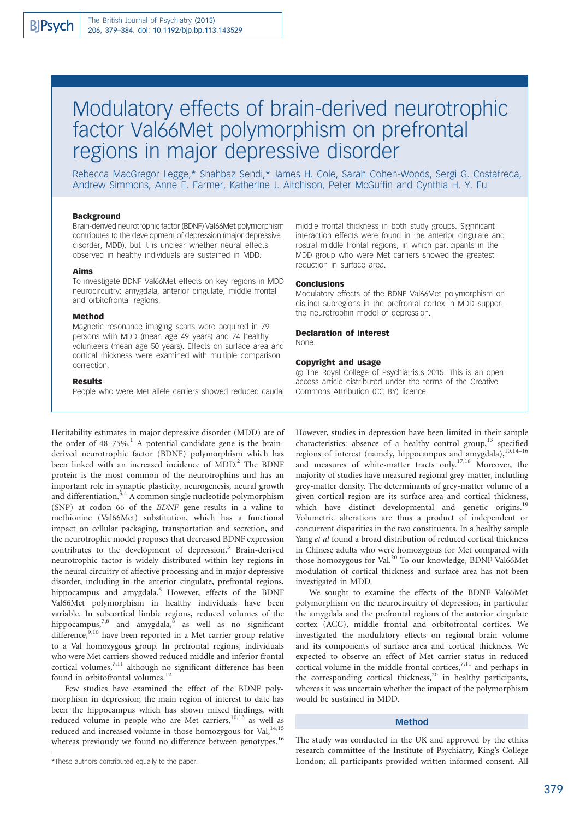# Modulatory effects of brain-derived neurotrophic factor Való6Met polymorphism on prefrontal regions in major depressive disorder

Rebecca MacGregor Legge,\* Shahbaz Sendi,\* James H. Cole, Sarah Cohen-Woods, Sergi G. Costafreda, Andrew Simmons, Anne E. Farmer, Katherine J. Aitchison, Peter McGuffin and Cynthia H. Y. Fu

#### **Background**

Brain-derived neurotrophic factor (BDNF) Val66Met polymorphism contributes to the development of depression (major depressive disorder, MDD), but it is unclear whether neural effects observed in healthy individuals are sustained in MDD.

#### Aims

To investigate BDNF Val66Met effects on key regions in MDD neurocircuitry: amygdala, anterior cingulate, middle frontal and orbitofrontal regions.

#### Method

Magnetic resonance imaging scans were acquired in 79 persons with MDD (mean age 49 years) and 74 healthy volunteers (mean age 50 years). Effects on surface area and cortical thickness were examined with multiple comparison correction.

#### Results

People who were Met allele carriers showed reduced caudal

Heritability estimates in major depressive disorder (MDD) are of the order of  $48-75\%$ .<sup>1</sup> A potential candidate gene is the brainderived neurotrophic factor (BDNF) polymorphism which has been linked with an increased incidence of MDD.<sup>2</sup> The BDNF protein is the most common of the neurotrophins and has an important role in synaptic plasticity, neurogenesis, neural growth and differentiation.<sup>3,4</sup> A common single nucleotide polymorphism (SNP) at codon 66 of the BDNF gene results in a valine to methionine (Val66Met) substitution, which has a functional impact on cellular packaging, transportation and secretion, and the neurotrophic model proposes that decreased BDNF expression contributes to the development of depression.<sup>5</sup> Brain-derived neurotrophic factor is widely distributed within key regions in the neural circuitry of affective processing and in major depressive disorder, including in the anterior cingulate, prefrontal regions, hippocampus and amygdala.<sup>6</sup> However, effects of the BDNF Val66Met polymorphism in healthy individuals have been variable. In subcortical limbic regions, reduced volumes of the hippocampus,<sup>7,8</sup> and amygdala, $\frac{8}{9}$  as well as no significant difference,<sup>9,10</sup> have been reported in a Met carrier group relative to a Val homozygous group. In prefrontal regions, individuals who were Met carriers showed reduced middle and inferior frontal cortical volumes,<sup>7,11</sup> although no significant difference has been found in orbitofrontal volumes.<sup>12</sup>

Few studies have examined the effect of the BDNF polymorphism in depression; the main region of interest to date has been the hippocampus which has shown mixed findings, with reduced volume in people who are Met carriers, $10,13$  as well as reduced and increased volume in those homozygous for Val,<sup>14,15</sup> whereas previously we found no difference between genotypes.<sup>16</sup> middle frontal thickness in both study groups. Significant interaction effects were found in the anterior cingulate and rostral middle frontal regions, in which participants in the MDD group who were Met carriers showed the greatest reduction in surface area.

#### Conclusions

Modulatory effects of the BDNF Val66Met polymorphism on distinct subregions in the prefrontal cortex in MDD support the neurotrophin model of depression.

#### Declaration of interest

None.

#### Copyright and usage

*B* The Royal College of Psychiatrists 2015. This is an open access article distributed under the terms of the Creative Commons Attribution (CC BY) licence.

However, studies in depression have been limited in their sample characteristics: absence of a healthy control group,<sup>13</sup> specified regions of interest (namely, hippocampus and amygdala), $10,14-16$ and measures of white-matter tracts only.17,18 Moreover, the majority of studies have measured regional grey-matter, including grey-matter density. The determinants of grey-matter volume of a given cortical region are its surface area and cortical thickness, which have distinct developmental and genetic origins.<sup>19</sup> Volumetric alterations are thus a product of independent or concurrent disparities in the two constituents. In a healthy sample Yang et al found a broad distribution of reduced cortical thickness in Chinese adults who were homozygous for Met compared with those homozygous for Val.<sup>20</sup> To our knowledge, BDNF Val66Met modulation of cortical thickness and surface area has not been investigated in MDD.

We sought to examine the effects of the BDNF Val66Met polymorphism on the neurocircuitry of depression, in particular the amygdala and the prefrontal regions of the anterior cingulate cortex (ACC), middle frontal and orbitofrontal cortices. We investigated the modulatory effects on regional brain volume and its components of surface area and cortical thickness. We expected to observe an effect of Met carrier status in reduced cortical volume in the middle frontal cortices,<sup>7,11</sup> and perhaps in the corresponding cortical thickness,<sup>20</sup> in healthy participants, whereas it was uncertain whether the impact of the polymorphism would be sustained in MDD.

#### Method

The study was conducted in the UK and approved by the ethics research committee of the Institute of Psychiatry, King's College London; all participants provided written informed consent. All

<sup>\*</sup>These authors contributed equally to the paper.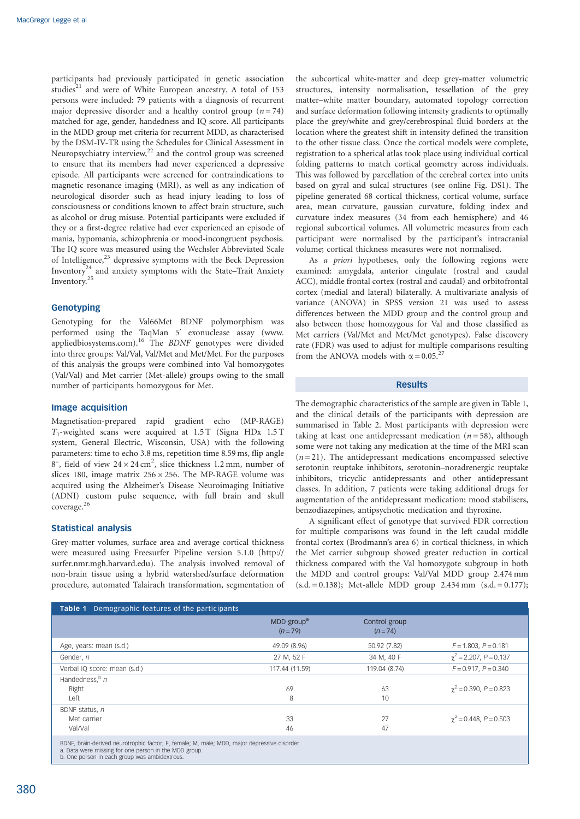participants had previously participated in genetic association studies<sup>21</sup> and were of White European ancestry. A total of 153 persons were included: 79 patients with a diagnosis of recurrent major depressive disorder and a healthy control group  $(n = 74)$ matched for age, gender, handedness and IQ score. All participants in the MDD group met criteria for recurrent MDD, as characterised by the DSM-IV-TR using the Schedules for Clinical Assessment in Neuropsychiatry interview,<sup>22</sup> and the control group was screened to ensure that its members had never experienced a depressive episode. All participants were screened for contraindications to magnetic resonance imaging (MRI), as well as any indication of neurological disorder such as head injury leading to loss of consciousness or conditions known to affect brain structure, such as alcohol or drug misuse. Potential participants were excluded if they or a first-degree relative had ever experienced an episode of mania, hypomania, schizophrenia or mood-incongruent psychosis. The IQ score was measured using the Wechsler Abbreviated Scale of Intelligence, $^{23}$  depressive symptoms with the Beck Depression Inventory $24$  and anxiety symptoms with the State–Trait Anxiety Inventory.<sup>25</sup>

#### **Genotyping**

Genotyping for the Val66Met BDNF polymorphism was performed using the TaqMan 5' exonuclease assay (www. appliedbiosystems.com).<sup>16</sup> The BDNF genotypes were divided into three groups: Val/Val, Val/Met and Met/Met. For the purposes of this analysis the groups were combined into Val homozygotes (Val/Val) and Met carrier (Met-allele) groups owing to the small number of participants homozygous for Met.

#### Image acquisition

Magnetisation-prepared rapid gradient echo (MP-RAGE)  $T_1$ -weighted scans were acquired at 1.5 T (Signa HDx 1.5 T system, General Electric, Wisconsin, USA) with the following parameters: time to echo 3.8 ms, repetition time 8.59 ms, flip angle  $8^\circ$ , field of view  $24 \times 24$  cm<sup>2</sup>, slice thickness 1.2 mm, number of slices 180, image matrix  $256 \times 256$ . The MP-RAGE volume was acquired using the Alzheimer's Disease Neuroimaging Initiative (ADNI) custom pulse sequence, with full brain and skull coverage.26

#### Statistical analysis

Grey-matter volumes, surface area and average cortical thickness were measured using Freesurfer Pipeline version 5.1.0 (http:// surfer.nmr.mgh.harvard.edu). The analysis involved removal of non-brain tissue using a hybrid watershed/surface deformation procedure, automated Talairach transformation, segmentation of the subcortical white-matter and deep grey-matter volumetric structures, intensity normalisation, tessellation of the grey matter–white matter boundary, automated topology correction and surface deformation following intensity gradients to optimally place the grey/white and grey/cerebrospinal fluid borders at the location where the greatest shift in intensity defined the transition to the other tissue class. Once the cortical models were complete, registration to a spherical atlas took place using individual cortical folding patterns to match cortical geometry across individuals. This was followed by parcellation of the cerebral cortex into units based on gyral and sulcal structures (see online Fig. DS1). The pipeline generated 68 cortical thickness, cortical volume, surface area, mean curvature, gaussian curvature, folding index and curvature index measures (34 from each hemisphere) and 46 regional subcortical volumes. All volumetric measures from each participant were normalised by the participant's intracranial volume; cortical thickness measures were not normalised.

As a priori hypotheses, only the following regions were examined: amygdala, anterior cingulate (rostral and caudal ACC), middle frontal cortex (rostral and caudal) and orbitofrontal cortex (medial and lateral) bilaterally. A multivariate analysis of variance (ANOVA) in SPSS version 21 was used to assess differences between the MDD group and the control group and also between those homozygous for Val and those classified as Met carriers (Val/Met and Met/Met genotypes). False discovery rate (FDR) was used to adjust for multiple comparisons resulting from the ANOVA models with  $\alpha = 0.05$ <sup>27</sup>

#### **Results**

The demographic characteristics of the sample are given in Table 1, and the clinical details of the participants with depression are summarised in Table 2. Most participants with depression were taking at least one antidepressant medication ( $n = 58$ ), although some were not taking any medication at the time of the MRI scan  $(n=21)$ . The antidepressant medications encompassed selective serotonin reuptake inhibitors, serotonin–noradrenergic reuptake inhibitors, tricyclic antidepressants and other antidepressant classes. In addition, 7 patients were taking additional drugs for augmentation of the antidepressant medication: mood stabilisers, benzodiazepines, antipsychotic medication and thyroxine.

A significant effect of genotype that survived FDR correction for multiple comparisons was found in the left caudal middle frontal cortex (Brodmann's area 6) in cortical thickness, in which the Met carrier subgroup showed greater reduction in cortical thickness compared with the Val homozygote subgroup in both the MDD and control groups: Val/Val MDD group 2.474 mm  $(s.d. = 0.138)$ ; Met-allele MDD group 2.434 mm  $(s.d. = 0.177)$ ;

| <b>Table 1</b> Demographic features of the participants                                                                                                                     |                                      |                             |                               |  |
|-----------------------------------------------------------------------------------------------------------------------------------------------------------------------------|--------------------------------------|-----------------------------|-------------------------------|--|
|                                                                                                                                                                             | MDD group <sup>a</sup><br>$(n = 79)$ | Control group<br>$(n = 74)$ |                               |  |
| Age, years: mean (s.d.)                                                                                                                                                     | 49.09 (8.96)                         | 50.92 (7.82)                | $F = 1.803, P = 0.181$        |  |
| Gender, n                                                                                                                                                                   | 27 M, 52 F                           | 34 M, 40 F                  | $\chi^2$ = 2.207, P = 0.137   |  |
| Verbal IQ score: mean (s.d.)                                                                                                                                                | 117.44 (11.59)                       | 119.04 (8.74)               | $F = 0.917$ , $P = 0.340$     |  |
| Handedness, $b$ n<br>Right<br>Left                                                                                                                                          | 69<br>8                              | 63<br>10                    | $\chi^2$ = 0.390, P = 0.823   |  |
| BDNF status, n<br>Met carrier<br>Val/Val                                                                                                                                    | 33<br>46                             | 27<br>47                    | $\gamma^2$ = 0.448, P = 0.503 |  |
| BDNF, brain-derived neurotrophic factor; F, female; M, male; MDD, major depressive disorder.<br>a record company and related from the company for the related dependence of |                                      |                             |                               |  |

a. Data were missing for one person in the MDD group. b. One person in each group was ambidextrous.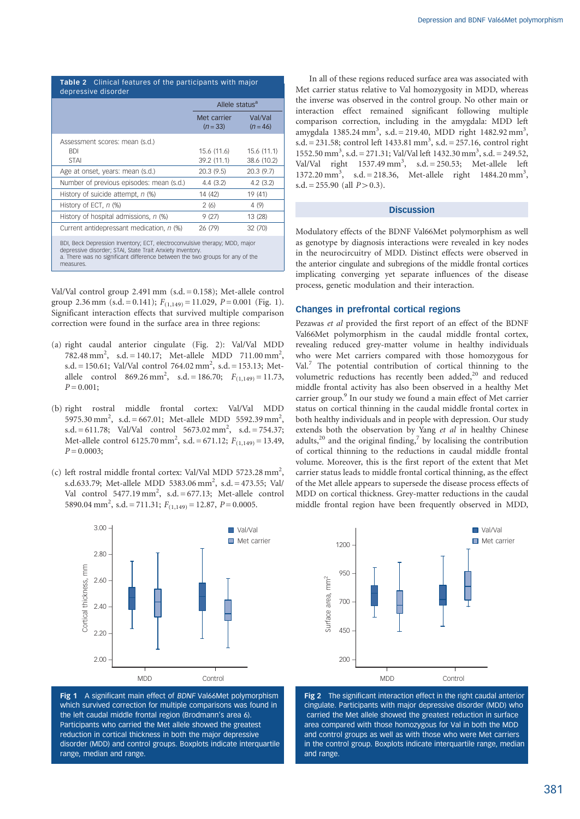| <b>Table 2</b> Clinical features of the participants with major<br>depressive disorder                                                                                                                                               |                            |                       |
|--------------------------------------------------------------------------------------------------------------------------------------------------------------------------------------------------------------------------------------|----------------------------|-----------------------|
|                                                                                                                                                                                                                                      | Allele status <sup>a</sup> |                       |
|                                                                                                                                                                                                                                      | Met carrier<br>$(n=33)$    | Val/Val<br>$(n = 46)$ |
| Assessment scores: mean (s.d.)                                                                                                                                                                                                       |                            |                       |
| <b>BDI</b>                                                                                                                                                                                                                           | 15.6 (11.6)                | 15.6(11.1)            |
| <b>STAI</b>                                                                                                                                                                                                                          | 39.2 (11.1)                | 38.6 (10.2)           |
| Age at onset, years: mean (s.d.)                                                                                                                                                                                                     | 20.3(9.5)                  | 20.3(9.7)             |
| Number of previous episodes: mean (s.d.)                                                                                                                                                                                             | 4.4(3.2)                   | 4.2(3.2)              |
| History of suicide attempt, n (%)                                                                                                                                                                                                    | 14 (42)                    | 19 (41)               |
| History of ECT, n (%)                                                                                                                                                                                                                | 2(6)                       | 4 (9)                 |
| History of hospital admissions, n (%)                                                                                                                                                                                                | 9(27)                      | 13 (28)               |
| Current antidepressant medication, n (%)                                                                                                                                                                                             | 26 (79)                    | 32 (70)               |
| BDI, Beck Depression Inventory; ECT, electroconvulsive therapy; MDD, major<br>depressive disorder; STAI, State Trait Anxiety Inventory.<br>a. There was no significant difference between the two groups for any of the<br>measures. |                            |                       |

Val/Val control group 2.491 mm (s.d. = 0.158); Met-allele control group 2.36 mm (s.d. = 0.141);  $F_{(1,149)} = 11.029$ ,  $P = 0.001$  (Fig. 1). Significant interaction effects that survived multiple comparison correction were found in the surface area in three regions:

- (a) right caudal anterior cingulate (Fig. 2): Val/Val MDD 782.48 mm<sup>2</sup>, s.d. = 140.17; Met-allele MDD 711.00 mm<sup>2</sup>, s.d. = 150.61; Val/Val control 764.02 mm<sup>2</sup>, s.d. = 153.13; Metallele control  $869.26 \text{ mm}^2$ , s.d. = 186.70;  $F_{(1,149)} = 11.73$ ,  $P = 0.001;$
- (b) right rostral middle frontal cortex: Val/Val MDD 5975.30 mm<sup>2</sup>, s.d. = 667.01; Met-allele MDD 5592.39 mm<sup>2</sup>,  $s.d. = 611.78$ ; Val/Val control  $5673.02 \text{ mm}^2$ ,  $s.d. = 754.37$ ; Met-allele control 6125.70 mm<sup>2</sup>, s.d. = 671.12;  $F_{(1,149)} = 13.49$ ,  $P = 0.0003;$
- (c) left rostral middle frontal cortex: Val/Val MDD 5723.28 mm<sup>2</sup>, s.d.633.79; Met-allele MDD 5383.06 mm<sup>2</sup>, s.d. = 473.55; Val/ Val control  $5477.19 \text{ mm}^2$ , s.d. = 677.13; Met-allele control 5890.04 mm<sup>2</sup>, s.d. = 711.31;  $F_{(1,149)} = 12.87$ ,  $P = 0.0005$ .

In all of these regions reduced surface area was associated with Met carrier status relative to Val homozygosity in MDD, whereas the inverse was observed in the control group. No other main or interaction effect remained significant following multiple comparison correction, including in the amygdala: MDD left amygdala 1385.24 mm<sup>3</sup>, s.d. = 219.40, MDD right 1482.92 mm<sup>3</sup>, s.d. = 231.58; control left 1433.81 mm<sup>3</sup>, s.d. = 257.16, control right 1552.50 mm<sup>3</sup>, s.d. = 271.31; Val/Val left 1432.30 mm<sup>3</sup>, s.d. = 249.52, Val/Val right  $1537.49 \text{ mm}^3$ , s.d. = 250.53; Met-allele left 1372.20 mm<sup>3</sup>, s.d. = 218.36, Met-allele right  $1484.20$  mm<sup>3</sup>, s.d. = 255.90 (all  $P > 0.3$ ).

#### **Discussion**

Modulatory effects of the BDNF Val66Met polymorphism as well as genotype by diagnosis interactions were revealed in key nodes in the neurocircuitry of MDD. Distinct effects were observed in the anterior cingulate and subregions of the middle frontal cortices implicating converging yet separate influences of the disease process, genetic modulation and their interaction.

#### Changes in prefrontal cortical regions

Pezawas et al provided the first report of an effect of the BDNF Val66Met polymorphism in the caudal middle frontal cortex, revealing reduced grey-matter volume in healthy individuals who were Met carriers compared with those homozygous for Val.<sup>7</sup> The potential contribution of cortical thinning to the volumetric reductions has recently been added,<sup>20</sup> and reduced middle frontal activity has also been observed in a healthy Met carrier group.<sup>9</sup> In our study we found a main effect of Met carrier status on cortical thinning in the caudal middle frontal cortex in both healthy individuals and in people with depression. Our study extends both the observation by Yang et al in healthy Chinese adults,<sup>20</sup> and the original finding,<sup>7</sup> by localising the contribution of cortical thinning to the reductions in caudal middle frontal volume. Moreover, this is the first report of the extent that Met carrier status leads to middle frontal cortical thinning, as the effect of the Met allele appears to supersede the disease process effects of MDD on cortical thickness. Grey-matter reductions in the caudal middle frontal region have been frequently observed in MDD,



Fig 1 A significant main effect of BDNF Val66Met polymorphism which survived correction for multiple comparisons was found in the left caudal middle frontal region (Brodmann's area 6). Participants who carried the Met allele showed the greatest reduction in cortical thickness in both the major depressive disorder (MDD) and control groups. Boxplots indicate interquartile range, median and range.



Fig 2 The significant interaction effect in the right caudal anterior cingulate. Participants with major depressive disorder (MDD) who carried the Met allele showed the greatest reduction in surface area compared with those homozygous for Val in both the MDD and control groups as well as with those who were Met carriers in the control group. Boxplots indicate interquartile range, median and range.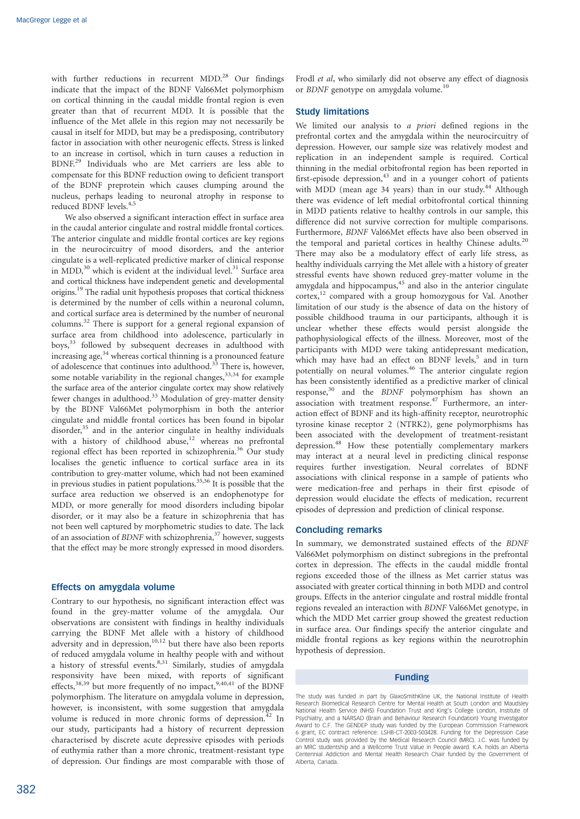with further reductions in recurrent MDD. $^{28}$  Our findings indicate that the impact of the BDNF Val66Met polymorphism on cortical thinning in the caudal middle frontal region is even greater than that of recurrent MDD. It is possible that the influence of the Met allele in this region may not necessarily be causal in itself for MDD, but may be a predisposing, contributory factor in association with other neurogenic effects. Stress is linked to an increase in cortisol, which in turn causes a reduction in BDNF.<sup>29</sup> Individuals who are Met carriers are less able to compensate for this BDNF reduction owing to deficient transport of the BDNF preprotein which causes clumping around the nucleus, perhaps leading to neuronal atrophy in response to reduced BDNF levels.<sup>4,5</sup>

We also observed a significant interaction effect in surface area in the caudal anterior cingulate and rostral middle frontal cortices. The anterior cingulate and middle frontal cortices are key regions in the neurocircuitry of mood disorders, and the anterior cingulate is a well-replicated predictive marker of clinical response in MDD, $^{30}$  which is evident at the individual level. $^{31}$  Surface area and cortical thickness have independent genetic and developmental origins.19 The radial unit hypothesis proposes that cortical thickness is determined by the number of cells within a neuronal column, and cortical surface area is determined by the number of neuronal columns.32 There is support for a general regional expansion of surface area from childhood into adolescence, particularly in boys,<sup>33</sup> followed by subsequent decreases in adulthood with increasing age,<sup>34</sup> whereas cortical thinning is a pronounced feature of adolescence that continues into adulthood.<sup>33</sup> There is, however, some notable variability in the regional changes,  $33,34$  for example the surface area of the anterior cingulate cortex may show relatively fewer changes in adulthood.<sup>33</sup> Modulation of grey-matter density by the BDNF Val66Met polymorphism in both the anterior cingulate and middle frontal cortices has been found in bipolar disorder,<sup>35</sup> and in the anterior cingulate in healthy individuals with a history of childhood abuse, $12$  whereas no prefrontal regional effect has been reported in schizophrenia.<sup>36</sup> Our study localises the genetic influence to cortical surface area in its contribution to grey-matter volume, which had not been examined in previous studies in patient populations.<sup>35,36</sup> It is possible that the surface area reduction we observed is an endophenotype for MDD, or more generally for mood disorders including bipolar disorder, or it may also be a feature in schizophrenia that has not been well captured by morphometric studies to date. The lack of an association of BDNF with schizophrenia,<sup>37</sup> however, suggests that the effect may be more strongly expressed in mood disorders.

#### Effects on amygdala volume

Contrary to our hypothesis, no significant interaction effect was found in the grey-matter volume of the amygdala. Our observations are consistent with findings in healthy individuals carrying the BDNF Met allele with a history of childhood adversity and in depression, $10,12$  but there have also been reports of reduced amygdala volume in healthy people with and without a history of stressful events. $8,31$  Similarly, studies of amygdala responsivity have been mixed, with reports of significant effects,  $38,39$  but more frequently of no impact,  $9,40,41$  of the BDNF polymorphism. The literature on amygdala volume in depression, however, is inconsistent, with some suggestion that amygdala volume is reduced in more chronic forms of depression. $42$  In our study, participants had a history of recurrent depression characterised by discrete acute depressive episodes with periods of euthymia rather than a more chronic, treatment-resistant type of depression. Our findings are most comparable with those of Frodl et al, who similarly did not observe any effect of diagnosis or BDNF genotype on amygdala volume.<sup>10</sup>

#### Study limitations

We limited our analysis to a priori defined regions in the prefrontal cortex and the amygdala within the neurocircuitry of depression. However, our sample size was relatively modest and replication in an independent sample is required. Cortical thinning in the medial orbitofrontal region has been reported in first-episode depression, $43$  and in a younger cohort of patients with MDD (mean age 34 years) than in our study.<sup>44</sup> Although there was evidence of left medial orbitofrontal cortical thinning in MDD patients relative to healthy controls in our sample, this difference did not survive correction for multiple comparisons. Furthermore, BDNF Val66Met effects have also been observed in the temporal and parietal cortices in healthy Chinese adults.<sup>20</sup> There may also be a modulatory effect of early life stress, as healthy individuals carrying the Met allele with a history of greater stressful events have shown reduced grey-matter volume in the amygdala and hippocampus, $45$  and also in the anterior cingulate cortex,<sup>12</sup> compared with a group homozygous for Val. Another limitation of our study is the absence of data on the history of possible childhood trauma in our participants, although it is unclear whether these effects would persist alongside the pathophysiological effects of the illness. Moreover, most of the participants with MDD were taking antidepressant medication, which may have had an effect on BDNF levels,<sup>5</sup> and in turn potentially on neural volumes.<sup>46</sup> The anterior cingulate region has been consistently identified as a predictive marker of clinical response,<sup>30</sup> and the *BDNF* polymorphism has shown an association with treatment response.47 Furthermore, an interaction effect of BDNF and its high-affinity receptor, neurotrophic tyrosine kinase receptor 2 (NTRK2), gene polymorphisms has been associated with the development of treatment-resistant depression.<sup>48</sup> How these potentially complementary markers may interact at a neural level in predicting clinical response requires further investigation. Neural correlates of BDNF associations with clinical response in a sample of patients who were medication-free and perhaps in their first episode of depression would elucidate the effects of medication, recurrent episodes of depression and prediction of clinical response.

#### Concluding remarks

In summary, we demonstrated sustained effects of the BDNF Val66Met polymorphism on distinct subregions in the prefrontal cortex in depression. The effects in the caudal middle frontal regions exceeded those of the illness as Met carrier status was associated with greater cortical thinning in both MDD and control groups. Effects in the anterior cingulate and rostral middle frontal regions revealed an interaction with BDNF Val66Met genotype, in which the MDD Met carrier group showed the greatest reduction in surface area. Our findings specify the anterior cingulate and middle frontal regions as key regions within the neurotrophin hypothesis of depression.

#### Funding

The study was funded in part by GlaxoSmithKline UK, the National Institute of Health Research Biomedical Research Centre for Mental Health at South London and Maudsley National Health Service (NHS) Foundation Trust and King's College London, Institute of Psychiatry, and a NARSAD (Brain and Behaviour Research Foundation) Young Investigator Award to C.F. The GENDEP study was funded by the European Commission Framework 6 grant, EC contract reference: LSHB-CT-2003-503428. Funding for the Depression Case Control study was provided by the Medical Research Council (MRC). J.C. was funded by an MRC studentship and a Wellcome Trust Value in People award. K.A. holds an Alberta Centennial Addiction and Mental Health Research Chair funded by the Government of Alberta, Canada.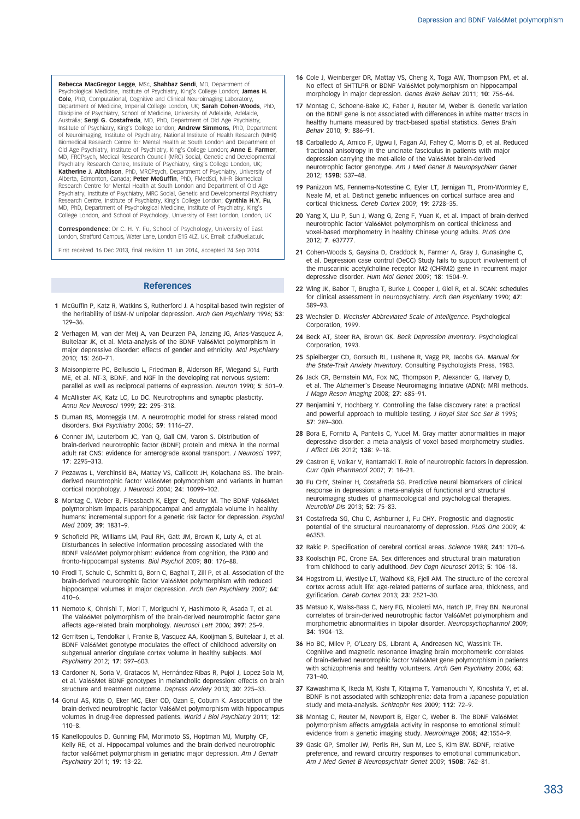Rebecca MacGregor Legge, MSc, Shahbaz Sendi, MD, Department of Psychological Medicine, Institute of Psychiatry, King's College London; **James H.**<br>**Cole**, PhD, Computational, Cognitive and Clinical Neuroimaging Laboratory, Department of Medicine, Imperial College London, UK; Sarah Cohen-Woods, PhD, Discipline of Psychiatry, School of Medicine, University of Adelaide, Adelaide, Australia; Sergi G. Costafreda, MD, PhD, Department of Old Age Psychiatry, Institute of Psychiatry, King's College London; **Andrew Simmons**, PhD, Department<br>of Neuroimaging, Institute of Psychiatry, National Institute of Health Research (NIHR) Biomedical Research Centre for Mental Health at South London and Department of Old Age Psychiatry, Institute of Psychiatry, King's College London; **Anne E. Farmer**,<br>MD, FRCPsych, Medical Research Council (MRC) Social, Genetic and Developmental Psychiatry Research Centre, Institute of Psychiatry, King's College London, UK; Katherine J. Aitchison, PhD, MRCPsych, Department of Psychiatry, University of Alberta, Edmonton, Canada; Peter McGuffin, PhD, FMedSci, NIHR Biomedical Research Centre for Mental Health at South London and Department of Old Age Psychiatry, Institute of Psychiatry, MRC Social, Genetic and Developmental Psychiatry Research Centre, Institute of Psychiatry, King's College London; **Cynthia H.Y. Fu,**<br>MD, PhD, Department of Psychological Medicine, Institute of Psychiatry, King's College London, and School of Psychology, University of East London, London, UK

Correspondence: Dr C. H. Y. Fu, School of Psychology, University of East London, Stratford Campus, Water Lane, London E15 4LZ, UK. Email: c.fu@uel.ac.uk.

First received 16 Dec 2013, final revision 11 Jun 2014, accepted 24 Sep 2014

#### References

- 1 McGuffin P, Katz R, Watkins S, Rutherford J. A hospital-based twin register of the heritability of DSM-IV unipolar depression. Arch Gen Psychiatry 1996; 53: 129–36.
- 2 Verhagen M, van der Meij A, van Deurzen PA, Janzing JG, Arias-Vasquez A, Buitelaar JK, et al. Meta-analysis of the BDNF Val66Met polymorphism in major depressive disorder: effects of gender and ethnicity. Mol Psychiatry 2010; 15: 260–71.
- 3 Maisonpierre PC, Belluscio L, Friedman B, Alderson RF, Wiegand SJ, Furth ME, et al. NT-3, BDNF, and NGF in the developing rat nervous system: parallel as well as reciprocal patterns of expression. Neuron 1990; 5: 501–9.
- 4 McAllister AK, Katz LC, Lo DC. Neurotrophins and synaptic plasticity. Annu Rev Neurosci 1999; 22: 295–318.
- 5 Duman RS, Monteggia LM. A neurotrophic model for stress related mood disorders. Biol Psychiatry 2006; 59: 1116–27.
- 6 Conner JM, Lauterborn JC, Yan Q, Gall CM, Varon S. Distribution of brain-derived neurotrophic factor (BDNF) protein and mRNA in the normal adult rat CNS: evidence for anterograde axonal transport. J Neurosci 1997; 17: 2295–313.
- 7 Pezawas L, Verchinski BA, Mattay VS, Callicott JH, Kolachana BS. The brainderived neurotrophic factor Val66Met polymorphism and variants in human cortical morphology. J Neurosci 2004; 24: 10099–102.
- 8 Montag C, Weber B, Fliessbach K, Elger C, Reuter M. The BDNF Val66Met polymorphism impacts parahippocampal and amygdala volume in healthy humans: incremental support for a genetic risk factor for depression. Psychol Med 2009; 39: 1831–9.
- 9 Schofield PR, Williams LM, Paul RH, Gatt JM, Brown K, Luty A, et al. Disturbances in selective information processing associated with the BDNF Val66Met polymorphism: evidence from cognition, the P300 and fronto-hippocampal systems. Biol Psychol 2009; 80: 176–88.
- 10 Frodl T, Schule C, Schmitt G, Born C, Baghai T, Zill P, et al. Association of the brain-derived neurotrophic factor Val66Met polymorphism with reduced hippocampal volumes in major depression. Arch Gen Psychiatry 2007; 64: 410–6.
- 11 Nemoto K, Ohnishi T, Mori T, Moriguchi Y, Hashimoto R, Asada T, et al. The Val66Met polymorphism of the brain-derived neurotrophic factor gene affects age-related brain morphology. Neurosci Lett 2006; 397: 25–9.
- 12 Gerritsen L, Tendolkar I, Franke B, Vasquez AA, Kooijman S, Buitelaar J, et al. BDNF Val66Met genotype modulates the effect of childhood adversity on subgenual anterior cingulate cortex volume in healthy subjects. Mol Psychiatry 2012; 17: 597–603.
- 13 Cardoner N, Soria V, Gratacos M, Hernández-Ribas R, Pujol J, Lopez-Sola M, et al. Val66Met BDNF genotypes in melancholic depression: effects on brain structure and treatment outcome. Depress Anxiety 2013; 30: 225–33.
- 14 Gonul AS, Kitis O, Eker MC, Eker OD, Ozan E, Coburn K. Association of the brain-derived neurotrophic factor Val66Met polymorphism with hippocampus volumes in drug-free depressed patients. World J Biol Psychiatry 2011; 12: 110–8.
- 15 Kanellopoulos D, Gunning FM, Morimoto SS, Hoptman MJ, Murphy CF, Kelly RE, et al. Hippocampal volumes and the brain-derived neurotrophic factor val66met polymorphism in geriatric major depression. Am J Geriatr Psychiatry 2011; 19: 13–22.
- 16 Cole J, Weinberger DR, Mattay VS, Cheng X, Toga AW, Thompson PM, et al. No effect of 5HTTLPR or BDNF Val66Met polymorphism on hippocampal morphology in major depression. Genes Brain Behav 2011; 10: 756–64.
- 17 Montag C, Schoene-Bake JC, Faber J, Reuter M, Weber B. Genetic variation on the BDNF gene is not associated with differences in white matter tracts in healthy humans measured by tract-based spatial statistics. Genes Brain Behav 2010; 9: 886–91.
- 18 Carballedo A, Amico F, Ugwu I, Fagan AJ, Fahey C, Morris D, et al. Reduced fractional anisotropy in the uncinate fasciculus in patients with major depression carrying the met-allele of the Val66Met brain-derived neurotrophic factor genotype. Am J Med Genet B Neuropsychiatr Genet 2012; 159B: 537–48.
- 19 Panizzon MS, Fennema-Notestine C, Eyler LT, Jernigan TL, Prom-Wormley E, Neale M, et al. Distinct genetic influences on cortical surface area and cortical thickness. Cereb Cortex 2009; 19: 2728–35.
- 20 Yang X, Liu P, Sun J, Wang G, Zeng F, Yuan K, et al. Impact of brain-derived neurotrophic factor Val66Met polymorphism on cortical thickness and voxel-based morphometry in healthy Chinese young adults. PLoS One 2012; 7: e37777.
- 21 Cohen-Woods S, Gaysina D, Craddock N, Farmer A, Gray J, Gunasinghe C, et al. Depression case control (DeCC) Study fails to support involvement of the muscarinic acetylcholine receptor M2 (CHRM2) gene in recurrent major depressive disorder. Hum Mol Genet 2009; 18: 1504–9.
- 22 Wing JK, Babor T, Brugha T, Burke J, Cooper J, Giel R, et al. SCAN: schedules for clinical assessment in neuropsychiatry. Arch Gen Psychiatry 1990; 47: 589–93.
- 23 Wechsler D. Wechsler Abbreviated Scale of Intelligence. Psychological Corporation, 1999.
- 24 Beck AT, Steer RA, Brown GK, Beck Depression Inventory, Psychological Corporation, 1993.
- 25 Spielberger CD, Gorsuch RL, Lushene R, Vagg PR, Jacobs GA. Manual for the State-Trait Anxiety Inventory. Consulting Psychologists Press, 1983.
- 26 Jack CR, Bernstein MA, Fox NC, Thompson P, Alexander G, Harvey D, et al. The Alzheimer's Disease Neuroimaging Initiative (ADNI): MRI methods. J Magn Reson Imaging 2008; 27: 685–91.
- 27 Benjamini Y, Hochberg Y. Controlling the false discovery rate: a practical and powerful approach to multiple testing. J Royal Stat Soc Ser B 1995; 57: 289–300.
- 28 Bora E, Fornito A, Pantelis C, Yucel M. Gray matter abnormalities in major depressive disorder: a meta-analysis of voxel based morphometry studies. J Affect Dis 2012; 138: 9–18.
- 29 Castren E, Voikar V, Rantamaki T. Role of neurotrophic factors in depression. Curr Opin Pharmacol 2007; 7: 18–21.
- 30 Fu CHY, Steiner H, Costafreda SG. Predictive neural biomarkers of clinical response in depression: a meta-analysis of functional and structural neuroimaging studies of pharmacological and psychological therapies. Neurobiol Dis 2013; 52: 75–83.
- 31 Costafreda SG, Chu C, Ashburner J, Fu CHY. Prognostic and diagnostic potential of the structural neuroanatomy of depression. PLoS One 2009; 4: e6353.
- 32 Rakic P. Specification of cerebral cortical areas. Science 1988; 241: 170–6.
- 33 Koolschijn PC, Crone EA. Sex differences and structural brain maturation from childhood to early adulthood. Dev Cogn Neurosci 2013; 5: 106–18.
- 34 Hogstrom LJ, Westlye LT, Walhovd KB, Fjell AM. The structure of the cerebral cortex across adult life: age-related patterns of surface area, thickness, and gyrification. Cereb Cortex 2013; 23: 2521–30.
- 35 Matsuo K, Walss-Bass C, Nery FG, Nicoletti MA, Hatch JP, Frey BN. Neuronal correlates of brain-derived neurotrophic factor Val66Met polymorphism and morphometric abnormalities in bipolar disorder. Neuropsychopharmol 2009; 34: 1904–13.
- 36 Ho BC, Milev P, O'Leary DS, Librant A, Andreasen NC, Wassink TH. Cognitive and magnetic resonance imaging brain morphometric correlates of brain-derived neurotrophic factor Val66Met gene polymorphism in patients with schizophrenia and healthy volunteers. Arch Gen Psychiatry 2006; 63: 731–40.
- 37 Kawashima K, Ikeda M, Kishi T, Kitajima T, Yamanouchi Y, Kinoshita Y, et al. BDNF is not associated with schizophrenia: data from a Japanese population study and meta-analysis. Schizophr Res 2009; 112: 72–9.
- 38 Montag C, Reuter M, Newport B, Elger C, Weber B. The BDNF Val66Met polymorphism affects amygdala activity in response to emotional stimuli: evidence from a genetic imaging study. Neuroimage 2008; 42:1554–9.
- 39 Gasic GP, Smoller JW, Perlis RH, Sun M, Lee S, Kim BW. BDNF, relative preference, and reward circuitry responses to emotional communication. Am J Med Genet B Neuropsychiatr Genet 2009; 150B: 762–81.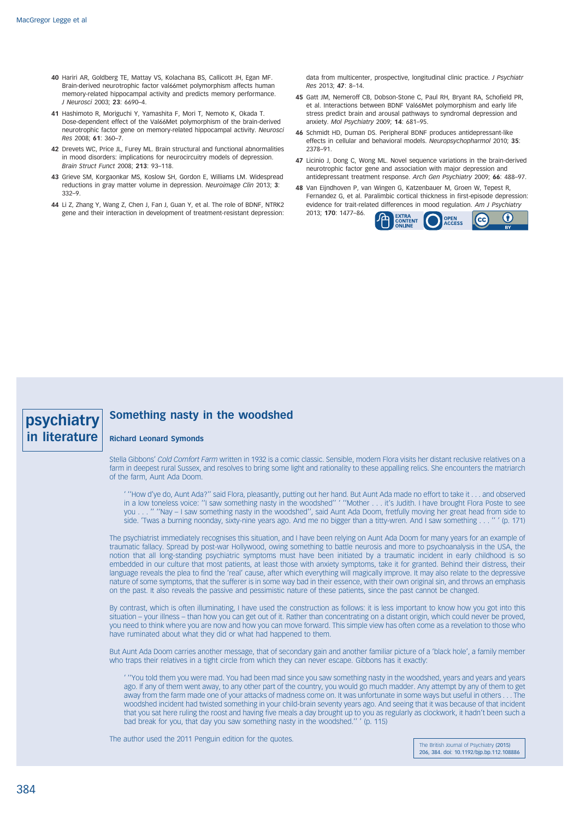- 40 Hariri AR, Goldberg TE, Mattay VS, Kolachana BS, Callicott JH, Egan MF. Brain-derived neurotrophic factor val66met polymorphism affects human memory-related hippocampal activity and predicts memory performance. J Neurosci 2003; 23: 6690–4.
- 41 Hashimoto R, Moriguchi Y, Yamashita F, Mori T, Nemoto K, Okada T. Dose-dependent effect of the Val66Met polymorphism of the brain-derived neurotrophic factor gene on memory-related hippocampal activity. Neurosci Res 2008; 61: 360–7.
- 42 Drevets WC, Price JL, Furey ML. Brain structural and functional abnormalities in mood disorders: implications for neurocircuitry models of depression. Brain Struct Funct 2008; 213: 93–118.
- 43 Grieve SM, Korgaonkar MS, Koslow SH, Gordon E, Williams LM. Widespread reductions in gray matter volume in depression. Neuroimage Clin 2013; 3: 332–9.
- 44 Li Z, Zhang Y, Wang Z, Chen J, Fan J, Guan Y, et al. The role of BDNF, NTRK2 gene and their interaction in development of treatment-resistant depression:

data from multicenter, prospective, longitudinal clinic practice. J Psychiatr Res 2013; 47: 8–14.

- 45 Gatt JM, Nemeroff CB, Dobson-Stone C, Paul RH, Bryant RA, Schofield PR et al. Interactions between BDNF Val66Met polymorphism and early life stress predict brain and arousal pathways to syndromal depression and anxiety. Mol Psychiatry 2009; 14: 681–95.
- 46 Schmidt HD, Duman DS. Peripheral BDNF produces antidepressant-like effects in cellular and behavioral models. Neuropsychopharmol 2010; 35: 2378–91.
- 47 Licinio J, Dong C, Wong ML. Novel sequence variations in the brain-derived neurotrophic factor gene and association with major depression and antidepressant treatment response. Arch Gen Psychiatry 2009; 66: 488–97.
- 48 Van Eijndhoven P, van Wingen G, Katzenbauer M, Groen W, Tepest R, Fernandez G, et al. Paralimbic cortical thickness in first-episode depression: evidence for trait-related differences in mood regulation. Am J Psychiatry 2013; 170: 1477–86.



## psychiatry in literature

### Something nasty in the woodshed

#### Richard Leonard Symonds

Stella Gibbons' Cold Comfort Farm written in 1932 is a comic classic. Sensible, modern Flora visits her distant reclusive relatives on a farm in deepest rural Sussex, and resolves to bring some light and rationality to these appalling relics. She encounters the matriarch of the farm, Aunt Ada Doom.

' ''How d'ye do, Aunt Ada?'' said Flora, pleasantly, putting out her hand. But Aunt Ada made no effort to take it . . . and observed in a low toneless voice: ''I saw something nasty in the woodshed'' ' ''Mother . . . it's Judith. I have brought Flora Poste to see you . . . '' ''Nay – I saw something nasty in the woodshed'', said Aunt Ada Doom, fretfully moving her great head from side to side. 'Twas a burning noonday, sixty-nine years ago. And me no bigger than a titty-wren. And I saw something . . . '' ' (p. 171)

The psychiatrist immediately recognises this situation, and I have been relying on Aunt Ada Doom for many years for an example of traumatic fallacy. Spread by post-war Hollywood, owing something to battle neurosis and more to psychoanalysis in the USA, the notion that all long-standing psychiatric symptoms must have been initiated by a traumatic incident in early childhood is so embedded in our culture that most patients, at least those with anxiety symptoms, take it for granted. Behind their distress, their language reveals the plea to find the 'real' cause, after which everything will magically improve. It may also relate to the depressive nature of some symptoms, that the sufferer is in some way bad in their essence, with their own original sin, and throws an emphasis on the past. It also reveals the passive and pessimistic nature of these patients, since the past cannot be changed.

By contrast, which is often illuminating, I have used the construction as follows: it is less important to know how you got into this situation – your illness – than how you can get out of it. Rather than concentrating on a distant origin, which could never be proved, you need to think where you are now and how you can move forward. This simple view has often come as a revelation to those who have ruminated about what they did or what had happened to them.

But Aunt Ada Doom carries another message, that of secondary gain and another familiar picture of a 'black hole', a family member who traps their relatives in a tight circle from which they can never escape. Gibbons has it exactly:

' ''You told them you were mad. You had been mad since you saw something nasty in the woodshed, years and years and years ago. If any of them went away, to any other part of the country, you would go much madder. Any attempt by any of them to get away from the farm made one of your attacks of madness come on. It was unfortunate in some ways but useful in others . . . The woodshed incident had twisted something in your child-brain seventy years ago. And seeing that it was because of that incident that you sat here ruling the roost and having five meals a day brought up to you as regularly as clockwork, it hadn't been such a bad break for you, that day you saw something nasty in the woodshed.'' ' (p. 115)

The author used the 2011 Penguin edition for the quotes.

The British Journal of Psychiatry (2015) 206, 384. doi: 10.1192/bjp.bp.112.108886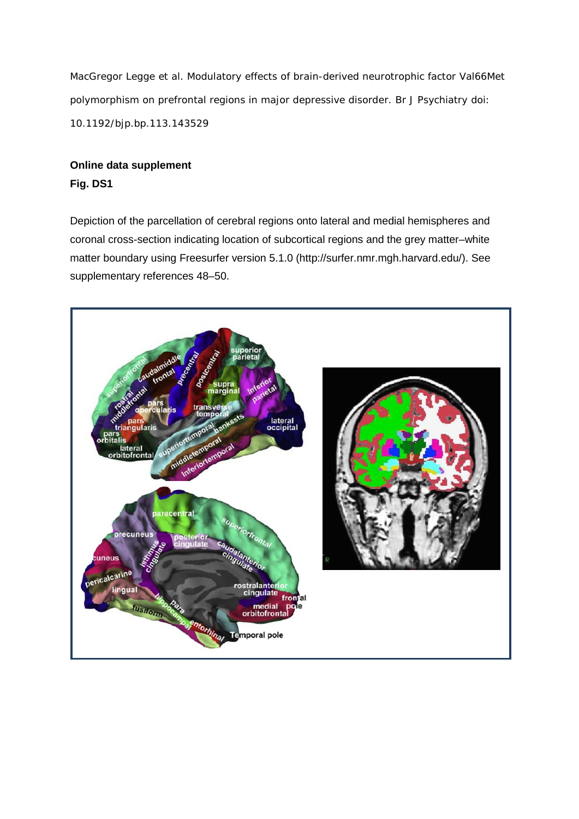MacGregor Legge et al. Modulatory effects of brain-derived neurotrophic factor Val66Met polymorphism on prefrontal regions in major depressive disorder. *Br J Psychiatry* doi: 10.1192/bjp.bp.113.143529

# **Online data supplement Fig. DS1**

Depiction of the parcellation of cerebral regions onto lateral and medial hemispheres and coronal cross-section indicating location of subcortical regions and the grey matter–white matter boundary using Freesurfer version 5.1.0 (http://surfer.nmr.mgh.harvard.edu/). See supplementary references 48–50.

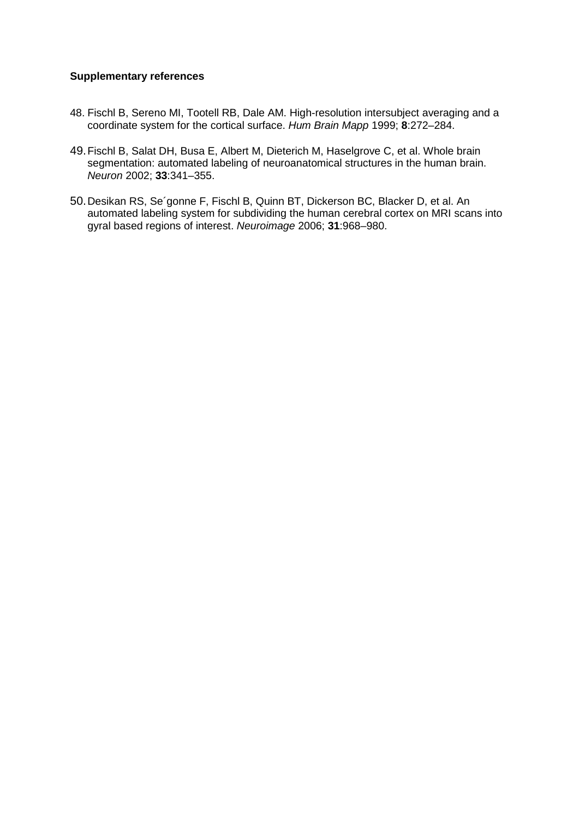### **Supplementary references**

- 48. Fischl B, Sereno MI, Tootell RB, Dale AM. High-resolution intersubject averaging and a coordinate system for the cortical surface. *Hum Brain Mapp* 1999; **8**:272–284.
- 49.Fischl B, Salat DH, Busa E, Albert M, Dieterich M, Haselgrove C, et al. Whole brain segmentation: automated labeling of neuroanatomical structures in the human brain. *Neuron* 2002; **33**:341–355.
- 50.Desikan RS, Se´gonne F, Fischl B, Quinn BT, Dickerson BC, Blacker D, et al. An automated labeling system for subdividing the human cerebral cortex on MRI scans into gyral based regions of interest. *Neuroimage* 2006; **31**:968–980.